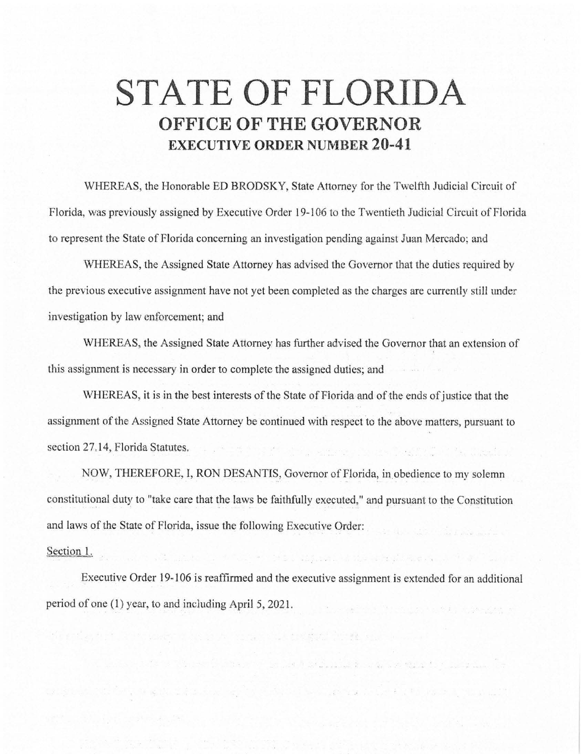## **STATE OF FLORIDA OFFICE OF THE GOVERNOR EXECUTIVE ORDER NUMBER 20-41**

WHEREAS, the Honorable ED BRODSKY, State Attorney for the Twelfth Judicial Circuit of Florida, was previously assigned by Executive Order 19-106 to the Twentieth Judicial Circuit of Florida to represent the State of Florida concerning an investigation pending against Juan Mercado; and

WHEREAS, the Assigned State Attorney has advised the Governor that the duties required by the previous executive assignment have not yet been completed as the charges are currently still under investigation by law enforcement; and

WHEREAS, the Assigned State Attorney has further advised the Governor that an extension of this assignment is necessary in order to complete the assigned duties; and

WHEREAS, it is in the best interests of the State of Florida and of the ends of justice that the assignment of the Assigned State Attorney be continued with respect to the above matters, pursuant to section 27,14, Florida Statutes,

NOW, THEREFORE, I, RON DESANTIS, Governor of Florida, in obedience to my solemn constitutional duty to "take care that the laws be faithfully executed," and pursuant to the Constitution and laws of the State of Florida, issue the following Executive Order:

## Section 1.

Executive Order 19-106 is reaffirmed and the executive assignment is extended for an additional period of one (l) year, to and including April 5, 2021.

s të eshkullime në të bështë shtetit të shqipërit në shtetu.

as the given the most present the starting of

.<br>Kubwis di Viene Martin Audiens de